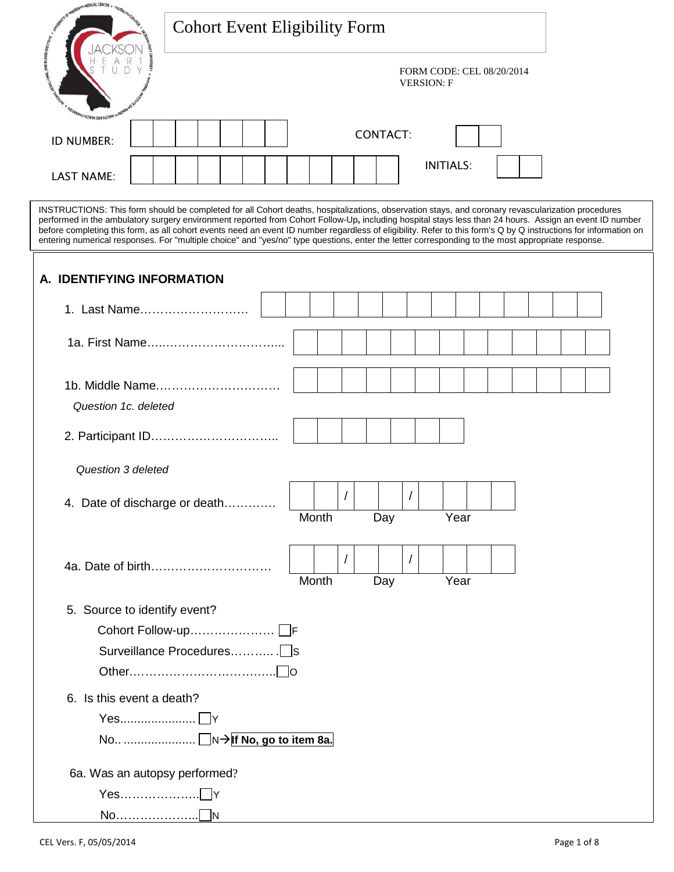| HEDICAL CENTER                                                                                                                                                                                                                                                                                                                                                                                                                                                                                                                                                                                                                       | <b>Cohort Event Eligibility Form</b> |       |          |                 |            |                                                |                  |  |  |  |  |
|--------------------------------------------------------------------------------------------------------------------------------------------------------------------------------------------------------------------------------------------------------------------------------------------------------------------------------------------------------------------------------------------------------------------------------------------------------------------------------------------------------------------------------------------------------------------------------------------------------------------------------------|--------------------------------------|-------|----------|-----------------|------------|------------------------------------------------|------------------|--|--|--|--|
|                                                                                                                                                                                                                                                                                                                                                                                                                                                                                                                                                                                                                                      |                                      |       |          |                 |            | FORM CODE: CEL 08/20/2014<br><b>VERSION: F</b> |                  |  |  |  |  |
| ID NUMBER:                                                                                                                                                                                                                                                                                                                                                                                                                                                                                                                                                                                                                           |                                      |       |          | <b>CONTACT:</b> |            |                                                | <b>INITIALS:</b> |  |  |  |  |
| <b>LAST NAME:</b>                                                                                                                                                                                                                                                                                                                                                                                                                                                                                                                                                                                                                    |                                      |       |          |                 |            |                                                |                  |  |  |  |  |
| INSTRUCTIONS: This form should be completed for all Cohort deaths, hospitalizations, observation stays, and coronary revascularization procedures<br>performed in the ambulatory surgery environment reported from Cohort Follow-Up, including hospital stays less than 24 hours. Assign an event ID number<br>before completing this form, as all cohort events need an event ID number regardless of eligibility. Refer to this form's Q by Q instructions for information on<br>entering numerical responses. For "multiple choice" and "yes/no" type questions, enter the letter corresponding to the most appropriate response. |                                      |       |          |                 |            |                                                |                  |  |  |  |  |
| A. IDENTIFYING INFORMATION                                                                                                                                                                                                                                                                                                                                                                                                                                                                                                                                                                                                           |                                      |       |          |                 |            |                                                |                  |  |  |  |  |
| 1. Last Name                                                                                                                                                                                                                                                                                                                                                                                                                                                                                                                                                                                                                         |                                      |       |          |                 |            |                                                |                  |  |  |  |  |
|                                                                                                                                                                                                                                                                                                                                                                                                                                                                                                                                                                                                                                      |                                      |       |          |                 |            |                                                |                  |  |  |  |  |
|                                                                                                                                                                                                                                                                                                                                                                                                                                                                                                                                                                                                                                      | 1b. Middle Name                      |       |          |                 |            |                                                |                  |  |  |  |  |
| Question 1c. deleted                                                                                                                                                                                                                                                                                                                                                                                                                                                                                                                                                                                                                 |                                      |       |          |                 |            |                                                |                  |  |  |  |  |
|                                                                                                                                                                                                                                                                                                                                                                                                                                                                                                                                                                                                                                      |                                      |       |          |                 |            |                                                |                  |  |  |  |  |
| <b>Question 3 deleted</b>                                                                                                                                                                                                                                                                                                                                                                                                                                                                                                                                                                                                            |                                      |       |          |                 |            |                                                |                  |  |  |  |  |
|                                                                                                                                                                                                                                                                                                                                                                                                                                                                                                                                                                                                                                      | 4. Date of discharge or death        | Month | $\prime$ | Day             | $\sqrt{2}$ |                                                | Year             |  |  |  |  |
|                                                                                                                                                                                                                                                                                                                                                                                                                                                                                                                                                                                                                                      |                                      | Month |          | Day             |            |                                                | Year             |  |  |  |  |
| 5. Source to identify event?                                                                                                                                                                                                                                                                                                                                                                                                                                                                                                                                                                                                         |                                      |       |          |                 |            |                                                |                  |  |  |  |  |
|                                                                                                                                                                                                                                                                                                                                                                                                                                                                                                                                                                                                                                      | Cohort Follow-up □F                  |       |          |                 |            |                                                |                  |  |  |  |  |
|                                                                                                                                                                                                                                                                                                                                                                                                                                                                                                                                                                                                                                      |                                      |       |          |                 |            |                                                |                  |  |  |  |  |
|                                                                                                                                                                                                                                                                                                                                                                                                                                                                                                                                                                                                                                      |                                      |       |          |                 |            |                                                |                  |  |  |  |  |
| 6. Is this event a death?                                                                                                                                                                                                                                                                                                                                                                                                                                                                                                                                                                                                            |                                      |       |          |                 |            |                                                |                  |  |  |  |  |
|                                                                                                                                                                                                                                                                                                                                                                                                                                                                                                                                                                                                                                      |                                      |       |          |                 |            |                                                |                  |  |  |  |  |
|                                                                                                                                                                                                                                                                                                                                                                                                                                                                                                                                                                                                                                      |                                      |       |          |                 |            |                                                |                  |  |  |  |  |
|                                                                                                                                                                                                                                                                                                                                                                                                                                                                                                                                                                                                                                      | No <u>N→</u> If No, go to item 8a.   |       |          |                 |            |                                                |                  |  |  |  |  |
| 6a. Was an autopsy performed?                                                                                                                                                                                                                                                                                                                                                                                                                                                                                                                                                                                                        |                                      |       |          |                 |            |                                                |                  |  |  |  |  |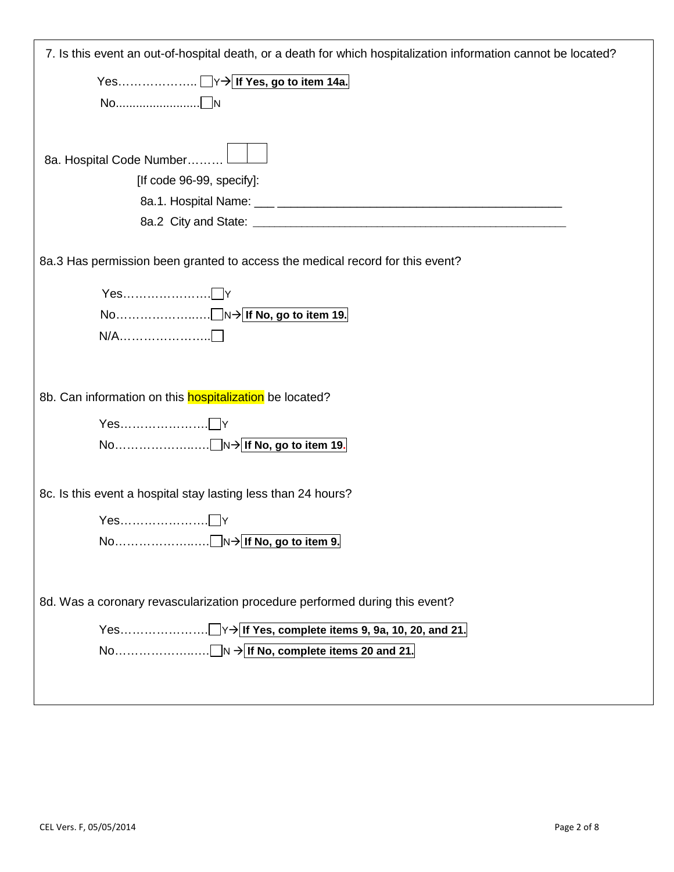| 7. Is this event an out-of-hospital death, or a death for which hospitalization information cannot be located? |
|----------------------------------------------------------------------------------------------------------------|
|                                                                                                                |
|                                                                                                                |
|                                                                                                                |
|                                                                                                                |
| 8a. Hospital Code Number<br>[If code 96-99, specify]:                                                          |
|                                                                                                                |
|                                                                                                                |
|                                                                                                                |
| 8a.3 Has permission been granted to access the medical record for this event?                                  |
|                                                                                                                |
|                                                                                                                |
|                                                                                                                |
|                                                                                                                |
| 8b. Can information on this <b>hospitalization</b> be located?                                                 |
|                                                                                                                |
|                                                                                                                |
|                                                                                                                |
| 8c. Is this event a hospital stay lasting less than 24 hours?                                                  |
|                                                                                                                |
|                                                                                                                |
|                                                                                                                |
|                                                                                                                |
| 8d. Was a coronary revascularization procedure performed during this event?                                    |
|                                                                                                                |
|                                                                                                                |
|                                                                                                                |
|                                                                                                                |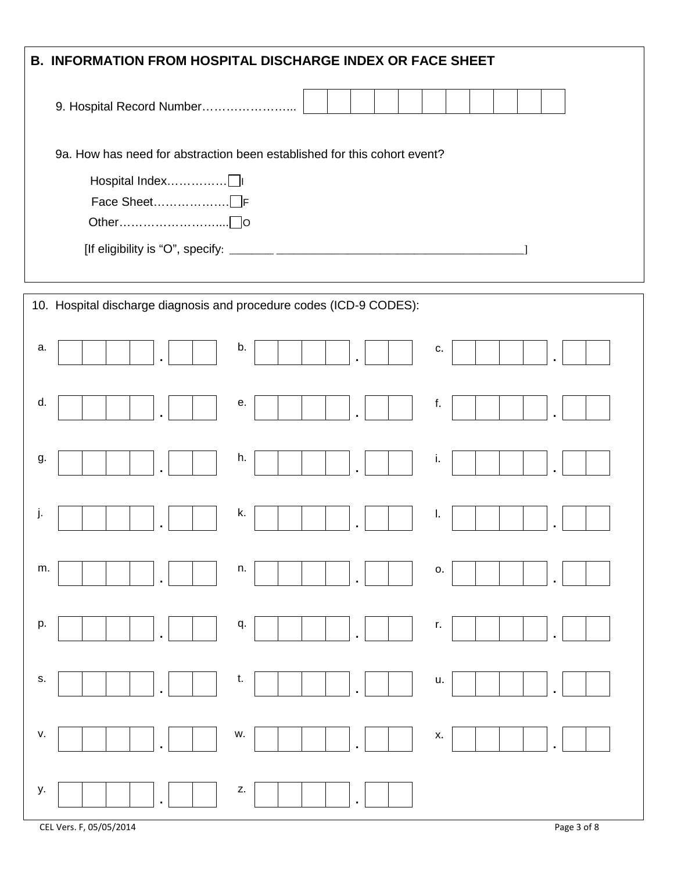| <b>B. INFORMATION FROM HOSPITAL DISCHARGE INDEX OR FACE SHEET</b>        |
|--------------------------------------------------------------------------|
| 9. Hospital Record Number                                                |
| 9a. How has need for abstraction been established for this cohort event? |
|                                                                          |
|                                                                          |
|                                                                          |
| 10. Hospital discharge diagnosis and procedure codes (ICD-9 CODES):      |
| b.<br>a.<br>c.                                                           |
| d.<br>е.<br>f.                                                           |
| h.<br>i.<br>g.                                                           |
| k.<br>Ι.<br>J.                                                           |
| m.<br>n.<br>0.                                                           |
| p.<br>q.<br>r.                                                           |
| s.<br>t.<br>u.                                                           |
| ٧.<br>w.<br>х.                                                           |
| Z.<br>у.                                                                 |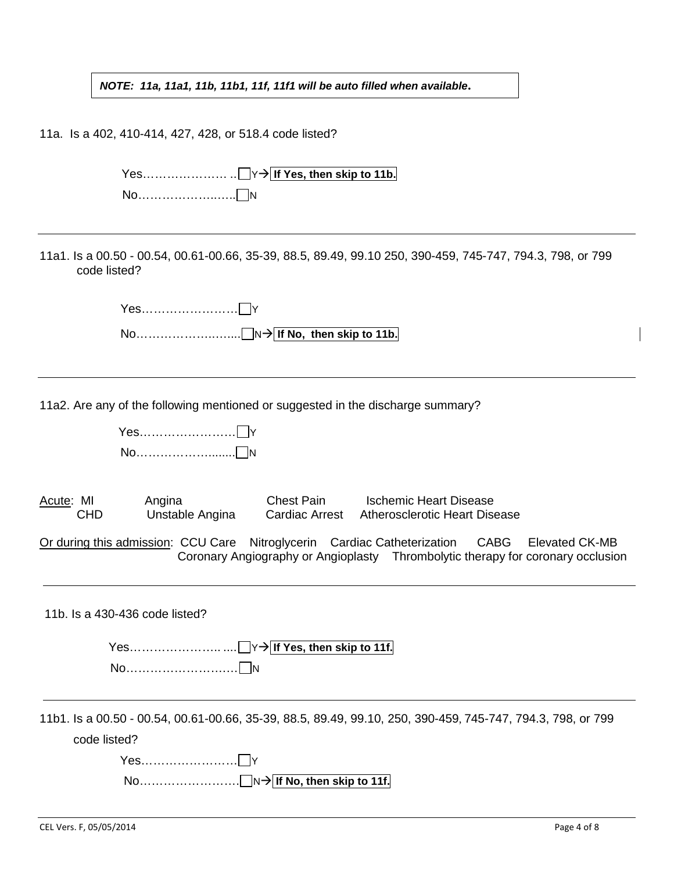*NOTE: 11a, 11a1, 11b, 11b1, 11f, 11f1 will be auto filled when available***.**

11a. Is a 402, 410-414, 427, 428, or 518.4 code listed? Yes………………… .. Y **If Yes, then skip to 11b.** No……………………∩<sub>N</sub> 11a1. Is a 00.50 - 00.54, 00.61-00.66, 35-39, 88.5, 89.49, 99.10 250, 390-459, 745-747, 794.3, 798, or 799 code listed? Yes…………………… Y No………………..….... N **If No, then skip to 11b.** 11a2. Are any of the following mentioned or suggested in the discharge summary? Yes…………………… Y No………………………∩N Acute: MI Angina Chest Pain Ischemic Heart Disease<br>CHD Unstable Angina Cardiac Arrest Atherosclerotic Heart Dise Atherosclerotic Heart Disease Or during this admission: CCU Care Nitroglycerin Cardiac Catheterization CABG Elevated CK-MB Coronary Angiography or Angioplasty Thrombolytic therapy for coronary occlusion 11b. Is a 430-436 code listed? Yes………………….. .... Y **If Yes, then skip to 11f.** No…………………….… N 11b1. Is a 00.50 - 00.54, 00.61-00.66, 35-39, 88.5, 89.49, 99.10, 250, 390-459, 745-747, 794.3, 798, or 799 code listed? Yes…………………… Y No……………………. N **If No, then skip to 11f.**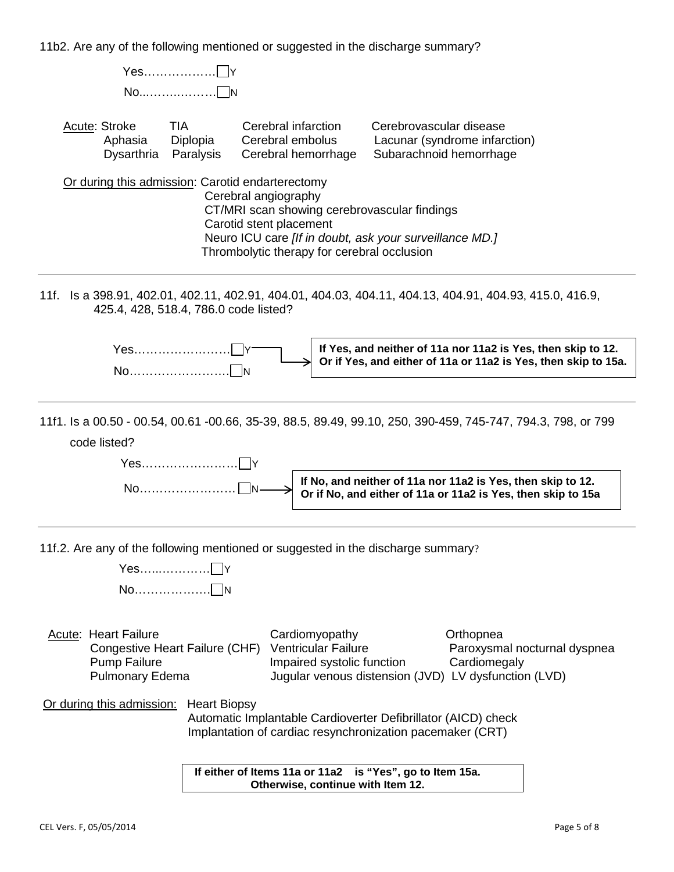11b2. Are any of the following mentioned or suggested in the discharge summary?

| $No$ $\neg N$                                                                                                                                                                                                                                                                                                     |
|-------------------------------------------------------------------------------------------------------------------------------------------------------------------------------------------------------------------------------------------------------------------------------------------------------------------|
| <b>TIA</b><br>Cerebral infarction<br>Cerebrovascular disease<br>Acute: Stroke<br>Cerebral embolus<br>Lacunar (syndrome infarction)<br>Aphasia<br>Diplopia<br>Paralysis<br>Subarachnoid hemorrhage<br>Dysarthria<br>Cerebral hemorrhage                                                                            |
| Or during this admission: Carotid endarterectomy<br>Cerebral angiography<br>CT/MRI scan showing cerebrovascular findings<br>Carotid stent placement<br>Neuro ICU care [If in doubt, ask your surveillance MD.]<br>Thrombolytic therapy for cerebral occlusion                                                     |
| 11f. Is a 398.91, 402.01, 402.11, 402.91, 404.01, 404.03, 404.11, 404.13, 404.91, 404.93, 415.0, 416.9,<br>425.4, 428, 518.4, 786.0 code listed?                                                                                                                                                                  |
| If Yes, and neither of 11a nor 11a2 is Yes, then skip to 12.<br>Yes……………………⊓<br>Or if Yes, and either of 11a or 11a2 is Yes, then skip to 15a.                                                                                                                                                                    |
| 11f1. Is a 00.50 - 00.54, 00.61 -00.66, 35-39, 88.5, 89.49, 99.10, 250, 390-459, 745-747, 794.3, 798, or 799<br>code listed?<br>If No, and neither of 11a nor 11a2 is Yes, then skip to 12.<br>Or if No, and either of 11a or 11a2 is Yes, then skip to 15a                                                       |
| 11f.2. Are any of the following mentioned or suggested in the discharge summary?<br>Yes r                                                                                                                                                                                                                         |
| <b>Acute: Heart Failure</b><br>Cardiomyopathy<br>Orthopnea<br><b>Ventricular Failure</b><br>Congestive Heart Failure (CHF)<br>Paroxysmal nocturnal dyspnea<br><b>Pump Failure</b><br>Impaired systolic function<br>Cardiomegaly<br><b>Pulmonary Edema</b><br>Jugular venous distension (JVD) LV dysfunction (LVD) |
| Or during this admission:<br><b>Heart Biopsy</b><br>Automatic Implantable Cardioverter Defibrillator (AICD) check<br>Implantation of cardiac resynchronization pacemaker (CRT)                                                                                                                                    |
| If either of Items 11a or 11a2 is "Yes", go to Item 15a.<br>Otherwise, continue with Item 12.                                                                                                                                                                                                                     |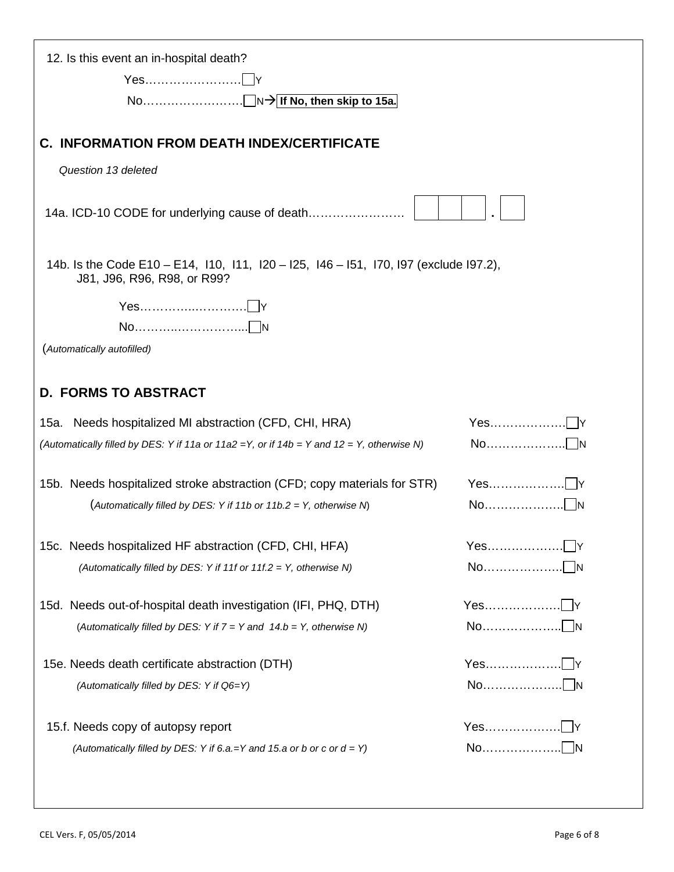| 12. Is this event an in-hospital death?                                                                              |  |
|----------------------------------------------------------------------------------------------------------------------|--|
| Yes……………………∏Y                                                                                                        |  |
|                                                                                                                      |  |
| <b>C. INFORMATION FROM DEATH INDEX/CERTIFICATE</b>                                                                   |  |
| Question 13 deleted                                                                                                  |  |
| 14a. ICD-10 CODE for underlying cause of death                                                                       |  |
| 14b. Is the Code E10 – E14, 110, 111, 120 – 125, 146 – 151, 170, 197 (exclude 197.2),<br>J81, J96, R96, R98, or R99? |  |
|                                                                                                                      |  |
|                                                                                                                      |  |
| (Automatically autofilled)                                                                                           |  |
| <b>D. FORMS TO ABSTRACT</b>                                                                                          |  |
| 15a. Needs hospitalized MI abstraction (CFD, CHI, HRA)                                                               |  |
| (Automatically filled by DES: Y if 11a or 11a2 = Y, or if 14b = Y and 12 = Y, otherwise N)                           |  |
| 15b. Needs hospitalized stroke abstraction (CFD; copy materials for STR)                                             |  |
| (Automatically filled by DES: Y if 11b or 11b.2 = Y, otherwise N)                                                    |  |
| 15c. Needs hospitalized HF abstraction (CFD, CHI, HFA)                                                               |  |
| (Automatically filled by DES: Y if 11f or 11f.2 = Y, otherwise N)                                                    |  |
| 15d. Needs out-of-hospital death investigation (IFI, PHQ, DTH)                                                       |  |
| (Automatically filled by DES: Y if $7 = Y$ and $14.b = Y$ , otherwise N)                                             |  |
| 15e. Needs death certificate abstraction (DTH)                                                                       |  |
| (Automatically filled by DES: Y if Q6=Y)                                                                             |  |
| 15.f. Needs copy of autopsy report                                                                                   |  |
| (Automatically filled by DES: Y if 6.a.=Y and 15.a or b or c or $d = Y$ )                                            |  |
|                                                                                                                      |  |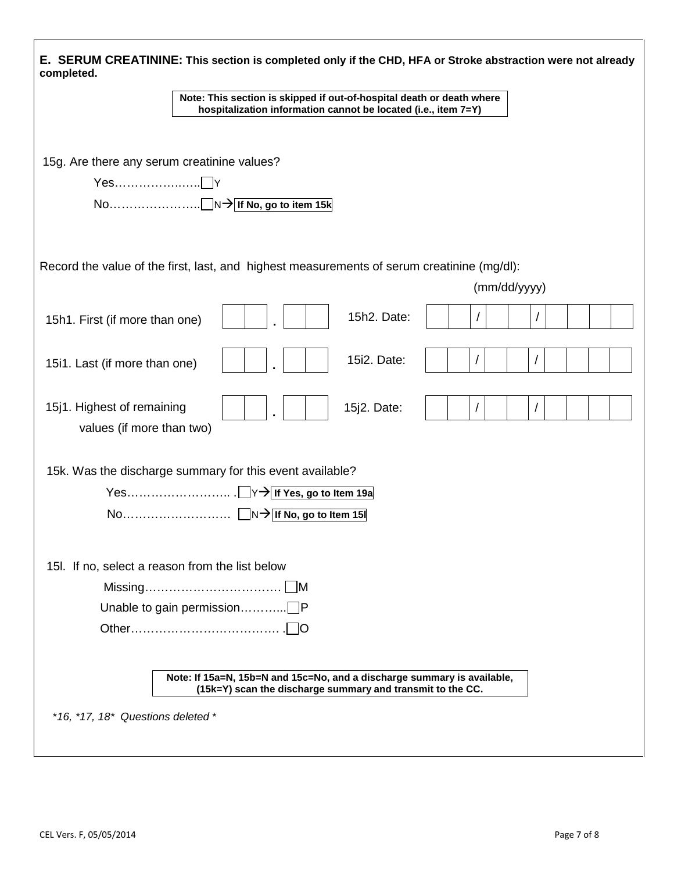| E. SERUM CREATININE: This section is completed only if the CHD, HFA or Stroke abstraction were not already<br>completed.                |
|-----------------------------------------------------------------------------------------------------------------------------------------|
| Note: This section is skipped if out-of-hospital death or death where<br>hospitalization information cannot be located (i.e., item 7=Y) |
|                                                                                                                                         |
| 15g. Are there any serum creatinine values?                                                                                             |
|                                                                                                                                         |
|                                                                                                                                         |
| Record the value of the first, last, and highest measurements of serum creatinine (mg/dl):                                              |
| (mm/dd/yyyy)                                                                                                                            |
| 15h2. Date:<br>15h1. First (if more than one)                                                                                           |
| 15i2. Date:<br>15i1. Last (if more than one)                                                                                            |
| 15j1. Highest of remaining<br>15j2. Date:<br>values (if more than two)                                                                  |
| 15k. Was the discharge summary for this event available?                                                                                |
| 15I. If no, select a reason from the list below                                                                                         |
|                                                                                                                                         |
| Unable to gain permission□P                                                                                                             |
|                                                                                                                                         |
| Note: If 15a=N, 15b=N and 15c=No, and a discharge summary is available,<br>(15k=Y) scan the discharge summary and transmit to the CC.   |
| *16, *17, 18* Questions deleted *                                                                                                       |